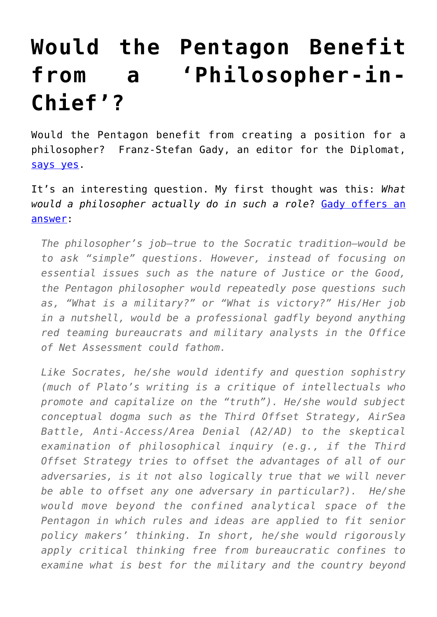## **[Would the Pentagon Benefit](https://intellectualtakeout.org/2016/11/would-the-pentagon-benefit-from-a-philosopher-in-chief/) [from a 'Philosopher-in-](https://intellectualtakeout.org/2016/11/would-the-pentagon-benefit-from-a-philosopher-in-chief/)[Chief'?](https://intellectualtakeout.org/2016/11/would-the-pentagon-benefit-from-a-philosopher-in-chief/)**

Would the Pentagon benefit from creating a position for a philosopher? Franz-Stefan Gady, an editor for the Diplomat, [says yes.](http://thediplomat.com/2016/11/why-we-need-philosophers-in-the-pentagon/)

It's an interesting question. My first thought was this: *What would a philosopher actually do in such a role*? [Gady offers an](http://thediplomat.com/2016/11/why-we-need-philosophers-in-the-pentagon/) [answer](http://thediplomat.com/2016/11/why-we-need-philosophers-in-the-pentagon/):

*The philosopher's job—true to the Socratic tradition—would be to ask "simple" questions. However, instead of focusing on essential issues such as the nature of Justice or the Good, the Pentagon philosopher would repeatedly pose questions such as, "What is a military?" or "What is victory?" His/Her job in a nutshell, would be a professional gadfly beyond anything red teaming bureaucrats and military analysts in the Office of Net Assessment could fathom.*

*Like Socrates, he/she would identify and question sophistry (much of Plato's writing is a critique of intellectuals who promote and capitalize on the "truth"). He/she would subject conceptual dogma such as the Third Offset Strategy, AirSea Battle, Anti-Access/Area Denial (A2/AD) to the skeptical examination of philosophical inquiry (e.g., if the Third Offset Strategy tries to offset the advantages of all of our adversaries, is it not also logically true that we will never be able to offset any one adversary in particular?). He/she would move beyond the confined analytical space of the Pentagon in which rules and ideas are applied to fit senior policy makers' thinking. In short, he/she would rigorously apply critical thinking free from bureaucratic confines to examine what is best for the military and the country beyond*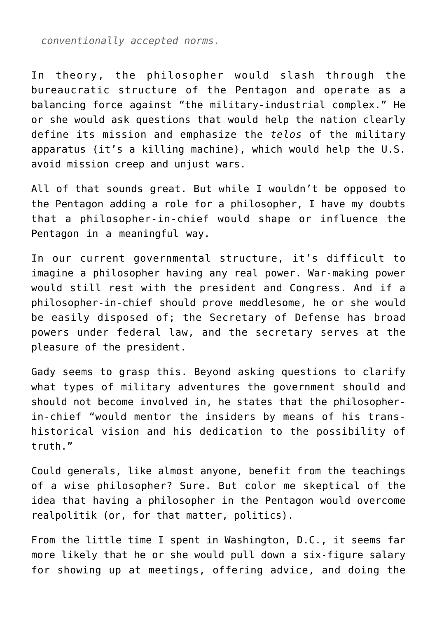*conventionally accepted norms.*

In theory, the philosopher would slash through the bureaucratic structure of the Pentagon and operate as a balancing force against "the military-industrial complex." He or she would ask questions that would help the nation clearly define its mission and emphasize the *telos* of the military apparatus (it's a killing machine), which would help the U.S. avoid mission creep and unjust wars.

All of that sounds great. But while I wouldn't be opposed to the Pentagon adding a role for a philosopher, I have my doubts that a philosopher-in-chief would shape or influence the Pentagon in a meaningful way.

In our current governmental structure, it's difficult to imagine a philosopher having any real power. War-making power would still rest with the president and Congress. And if a philosopher-in-chief should prove meddlesome, he or she would be easily disposed of; the Secretary of Defense has broad powers under federal law, and the secretary serves at the pleasure of the president.

Gady seems to grasp this. Beyond asking questions to clarify what types of military adventures the government should and should not become involved in, he states that the philosopherin-chief "would mentor the insiders by means of his transhistorical vision and his dedication to the possibility of truth."

Could generals, like almost anyone, benefit from the teachings of a wise philosopher? Sure. But color me skeptical of the idea that having a philosopher in the Pentagon would overcome realpolitik (or, for that matter, politics).

From the little time I spent in Washington, D.C., it seems far more likely that he or she would pull down a six-figure salary for showing up at meetings, offering advice, and doing the